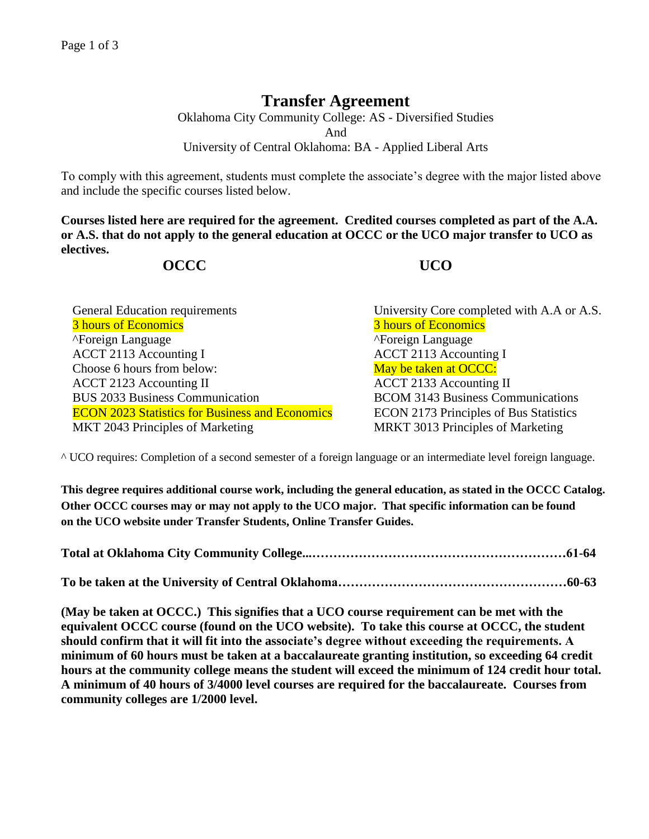## **Transfer Agreement**

Oklahoma City Community College: AS - Diversified Studies And University of Central Oklahoma: BA - Applied Liberal Arts

To comply with this agreement, students must complete the associate's degree with the major listed above and include the specific courses listed below.

**Courses listed here are required for the agreement. Credited courses completed as part of the A.A. or A.S. that do not apply to the general education at OCCC or the UCO major transfer to UCO as electives.**

## **OCCC UCO**

| <b>General Education requirements</b>                  |
|--------------------------------------------------------|
| 3 hours of Economics                                   |
| ">Foreign Language                                     |
| ACCT 2113 Accounting I                                 |
| Choose 6 hours from below:                             |
| <b>ACCT 2123 Accounting II</b>                         |
| <b>BUS 2033 Business Communication</b>                 |
| <b>ECON 2023 Statistics for Business and Economics</b> |
| MKT 2043 Principles of Marketing                       |

University Core completed with A.A or A.S. 3 hours of Economics ^Foreign Language ^Foreign Language ACCT 2113 Accounting I May be taken at OCCC: ACCT 2133 Accounting II BCOM 3143 Business Communications ECON 2173 Principles of Bus Statistics MRKT 3013 Principles of Marketing

^ UCO requires: Completion of a second semester of a foreign language or an intermediate level foreign language.

**This degree requires additional course work, including the general education, as stated in the OCCC Catalog. Other OCCC courses may or may not apply to the UCO major. That specific information can be found on the UCO website under Transfer Students, Online Transfer Guides.** 

**(May be taken at OCCC.) This signifies that a UCO course requirement can be met with the equivalent OCCC course (found on the UCO website). To take this course at OCCC, the student should confirm that it will fit into the associate's degree without exceeding the requirements. A minimum of 60 hours must be taken at a baccalaureate granting institution, so exceeding 64 credit hours at the community college means the student will exceed the minimum of 124 credit hour total. A minimum of 40 hours of 3/4000 level courses are required for the baccalaureate. Courses from community colleges are 1/2000 level.**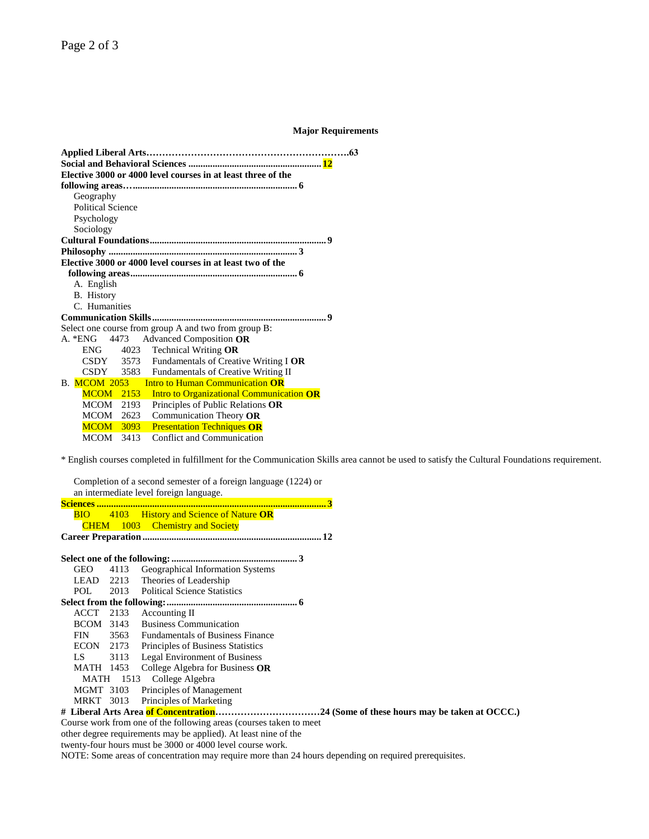## **Major Requirements**

| Elective 3000 or 4000 level courses in at least three of the                     | 63 |
|----------------------------------------------------------------------------------|----|
|                                                                                  |    |
| Geography                                                                        |    |
| <b>Political Science</b>                                                         |    |
| Psychology                                                                       |    |
| Sociology                                                                        |    |
|                                                                                  |    |
|                                                                                  |    |
| Elective 3000 or 4000 level courses in at least two of the                       |    |
|                                                                                  |    |
| A. English                                                                       |    |
| B. History                                                                       |    |
| C. Humanities                                                                    |    |
| 9                                                                                |    |
| Select one course from group A and two from group B:                             |    |
| A. *ENG 4473 Advanced Composition OR                                             |    |
| $ENG$ 4023 Technical Writing OR                                                  |    |
| CSDY 3573 Fundamentals of Creative Writing I OR                                  |    |
| CSDY 3583 Fundamentals of Creative Writing II                                    |    |
| B. MCOM 2053<br><b>Intro to Human Communication OR</b>                           |    |
| <b>Intro to Organizational Communication OR</b><br><b>MCOM</b> 2153              |    |
|                                                                                  |    |
| MCOM 2193                                                                        |    |
| Principles of Public Relations OR<br>MCOM 2623                                   |    |
| Communication Theory OR<br><b>MCOM</b> 3093<br><b>Presentation Techniques OR</b> |    |

\* English courses completed in fulfillment for the Communication Skills area cannot be used to satisfy the Cultural Foundations requirement.

Completion of a second semester of a foreign language (1224) or an intermediate level foreign language.

|  | <b>BIO</b> 4103 History and Science of Nature OR |  |
|--|--------------------------------------------------|--|
|  | <b>CHEM</b> 1003 Chemistry and Society           |  |
|  |                                                  |  |

**Select one of the following:.................................................... 3** GEO 4113 Geographical Information Systems LEAD 2213 Theories of Leadership POL 2013 Political Science Statistics **Select from the following:...................................................... 6** ACCT 2133 Accounting II BCOM 3143 Business Communication FIN 3563 Fundamentals of Business Finance ECON 2173 Principles of Business Statistics LS 3113 Legal Environment of Business MATH 1453 College Algebra for Business **OR** MATH 1513 College Algebra MGMT 3103 Principles of Management MRKT 3013 Principles of Marketing **# Liberal Arts Area of Concentration……………………………24 (Some of these hours may be taken at OCCC.)**  Course work from one of the following areas (courses taken to meet other degree requirements may be applied). At least nine of the

twenty-four hours must be 3000 or 4000 level course work.

NOTE: Some areas of concentration may require more than 24 hours depending on required prerequisites.